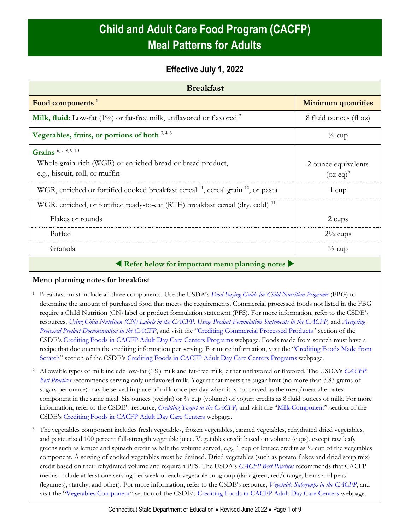# **Child and Adult Care Food Program (CACFP) Meal Patterns for Adults**

## **Effective July 1, 2022**

| <b>Breakfast</b>                                                                                                      |                                    |  |
|-----------------------------------------------------------------------------------------------------------------------|------------------------------------|--|
| Food components <sup>1</sup>                                                                                          | <b>Minimum quantities</b>          |  |
| Milk, fluid: Low-fat (1%) or fat-free milk, unflavored or flavored <sup>2</sup>                                       | 8 fluid ounces (fl oz)             |  |
| Vegetables, fruits, or portions of both $3,4,5$                                                                       | $\frac{1}{2}$ cup                  |  |
| Grains 6, 7, 8, 9, 10<br>Whole grain-rich (WGR) or enriched bread or bread product,<br>e.g., biscuit, roll, or muffin | 2 ounce equivalents<br>$(oz eq)^9$ |  |
| WGR, enriched or fortified cooked breakfast cereal <sup>11</sup> , cereal grain <sup>12</sup> , or pasta              | $1 \text{ cup}$                    |  |
| WGR, enriched, or fortified ready-to-eat (RTE) breakfast cereal (dry, cold) <sup>11</sup><br>Flakes or rounds         | 2 cups                             |  |
| Puffed                                                                                                                | $2\frac{1}{2}$ cups                |  |
| Granola                                                                                                               | $\frac{1}{2}$ cup                  |  |
| Refer below for important menu planning notes                                                                         |                                    |  |

### **Menu planning notes for breakfast**

- <sup>1</sup> Breakfast must include all three components. Use the USDA's *[Food Buying Guide for Child Nutrition Programs](https://www.fns.usda.gov/tn/food-buying-guide-for-child-nutrition-programs)* (FBG) to determine the amount of purchased food that meets the requirements. Commercial processed foods not listed in the FBG require a Child Nutrition (CN) label or product formulation statement (PFS). For more information, refer to the CSDE's resources, *[Using Child Nutrition \(CN\) Labels in the CACFP,](https://portal.ct.gov/-/media/SDE/Nutrition/CACFP/Crediting/Using_CN_labels_CACFP.pdf) [Using Product Formulation Statements](https://portal.ct.gov/-/media/SDE/Nutrition/CACFP/Crediting/Using_Product_Formulation_Statements_CACFP.pdf) in the CACFP,* and *[Accepting](https://portal.ct.gov/-/media/SDE/Nutrition/CACFP/Crediting/Accepting_Processed_Product_Documentation_CACFP.pdf)  [Processed Product Documentation in the CACFP](https://portal.ct.gov/-/media/SDE/Nutrition/CACFP/Crediting/Accepting_Processed_Product_Documentation_CACFP.pdf)*, and visit the "[Crediting Commercial Processed Products](https://portal.ct.gov/SDE/Nutrition/Crediting-Foods-in-CACFP-Adult-Day-Care-Centers/Documents#CommercialProducts)" section of the CSDE's [Crediting Foods in CACFP Adult Day Care Centers](https://portal.ct.gov/SDE/Nutrition/Crediting-Foods-in-CACFP-Adult-Day-Care-Centers/Documents) Programs webpage. Foods made from scratch must have a recipe that documents the crediting information per serving. For more information, visit the "[Crediting Foods Made from](https://portal.ct.gov/SDE/Nutrition/Crediting-Foods-in-CACFP-Adult-Day-Care-Centers/Documents#ScratchFoods)  [Scratch](https://portal.ct.gov/SDE/Nutrition/Crediting-Foods-in-CACFP-Adult-Day-Care-Centers/Documents#ScratchFoods)" section of the CSDE's [Crediting Foods in CACFP Adult Day Care Centers](https://portal.ct.gov/SDE/Nutrition/Crediting-Foods-in-CACFP-Adult-Day-Care-Centers) Programs webpage.
- <sup>2</sup> Allowable types of milk include low-fat (1%) milk and fat-free milk, either unflavored or flavored. The USDA's *[CACFP](https://fns-prod.azureedge.us/sites/default/files/cacfp/CACFP_factBP.pdf)  [Best Practices](https://fns-prod.azureedge.us/sites/default/files/cacfp/CACFP_factBP.pdf)* recommends serving only unflavored milk. Yogurt that meets the sugar limit (no more than 3.83 grams of sugars per ounce) may be served in place of milk once per day when it is not served as the meat/meat alternates component in the same meal. Six ounces (weight) or  $\frac{3}{4}$  cup (volume) of yogurt credits as 8 fluid ounces of milk. For more information, refer to the CSDE's resource, *[Crediting Yogurt in the CACFP,](https://portal.ct.gov/-/media/SDE/Nutrition/CACFP/Crediting/Credit_Yogurt_CACFP.pdf)* and visit the "[Milk Component](https://portal.ct.gov/SDE/Nutrition/Crediting-Foods-in-CACFP-Adult-Day-Care-Centers/Documents#Milk)" section of the CSDE's [Crediting Foods in CACFP Adult Day Care Centers](https://portal.ct.gov/SDE/Nutrition/Crediting-Foods-in-CACFP-Adult-Day-Care-Centers) webpage.
- <sup>3</sup> The vegetables component includes fresh vegetables, frozen vegetables, canned vegetables, rehydrated dried vegetables, and pasteurized 100 percent full-strength vegetable juice. Vegetables credit based on volume (cups), except raw leafy greens such as lettuce and spinach credit as half the volume served, e.g., 1 cup of lettuce credits as  $\frac{1}{2}$  cup of the vegetables component. A serving of cooked vegetables must be drained. Dried vegetables (such as potato flakes and dried soup mix) credit based on their rehydrated volume and require a PFS. The USDA's *[CACFP Best Practices](https://fns-prod.azureedge.us/sites/default/files/cacfp/CACFP_factBP.pdf)* recommends that CACFP menus include at least one serving per week of each vegetable subgroup (dark green, red/orange, beans and peas (legumes), starchy, and other). For more information, refer to the CSDE's resource, *[Vegetable Subgroups in the CACFP](https://portal.ct.gov/-/media/SDE/Nutrition/CACFP/Crediting/Vegetable_Subgroups_CACFP.pdf)*, and visit the "[Vegetables Component](https://portal.ct.gov/SDE/Nutrition/Crediting-Foods-in-CACFP-Adult-Day-Care-Centers/Documents#Vegetables)" section of the CSDE's [Crediting Foods in CACFP Adult Day Care Centers](https://portal.ct.gov/SDE/Nutrition/Crediting-Foods-in-CACFP-Adult-Day-Care-Centers) webpage.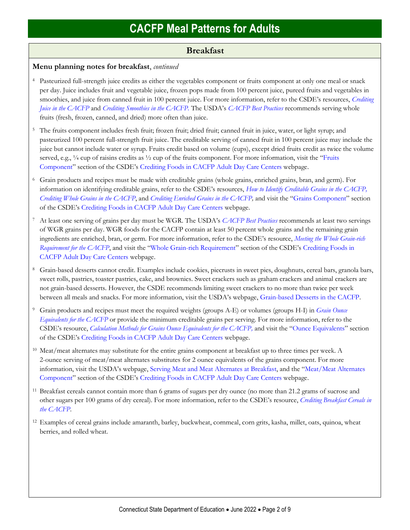### **Breakfast**

### **Menu planning notes for breakfast**, *continued*

- <sup>4</sup> Pasteurized full-strength juice credits as either the vegetables component or fruits component at only one meal or snack per day. Juice includes fruit and vegetable juice, frozen pops made from 100 percent juice, pureed fruits and vegetables in smoothies, and juice from canned fruit in 100 percent juice. For more information, refer to the CSDE's resources, *[Crediting](https://portal.ct.gov/-/media/SDE/Nutrition/CACFP/Crediting/Credit_Juice_CACFP.pdf)  [Juice in the CACFP](https://portal.ct.gov/-/media/SDE/Nutrition/CACFP/Crediting/Credit_Juice_CACFP.pdf)* and *[Crediting Smoothies in the CACFP.](https://portal.ct.gov/-/media/SDE/Nutrition/CACFP/Crediting/Credit_Smoothies_CACFP.pdf)* The USDA's *[CACFP Best Practices](https://fns-prod.azureedge.us/sites/default/files/cacfp/CACFP_factBP.pdf)* recommends serving whole fruits (fresh, frozen, canned, and dried) more often than juice.
- <sup>5</sup> The fruits component includes fresh fruit; frozen fruit; dried fruit; canned fruit in juice, water, or light syrup; and pasteurized 100 percent full-strength fruit juice. The creditable serving of canned fruit in 100 percent juice may include the juice but cannot include water or syrup. Fruits credit based on volume (cups), except dried fruits credit as twice the volume served, e.g., 1/4 cup of raisins credits as 1/2 cup of the fruits component. For more information, visit the "Fruits" [Component](https://portal.ct.gov/SDE/Nutrition/Crediting-Foods-in-CACFP-Adult-Day-Care-Centers/Documents#Fruits)" section of the CSDE's [Crediting Foods in CACFP Adult Day Care Centers](https://portal.ct.gov/SDE/Nutrition/Crediting-Foods-in-CACFP-Adult-Day-Care-Centers) webpage.
- <sup>6</sup> Grain products and recipes must be made with creditable grains (whole grains, enriched grains, bran, and germ). For information on identifying creditable grains, refer to the CSDE's resources, *[How to Identify Creditable Grains in the CACFP,](https://portal.ct.gov/-/media/SDE/Nutrition/CACFP/Crediting/Identify_Creditable_Grains_CACFP.pdf) [Crediting Whole Grains in the CACFP](https://portal.ct.gov/-/media/SDE/Nutrition/CACFP/Crediting/Credit_Whole_Grains_CACFP.pdf)*, and *Crediting Enriched [Grains in the CACFP,](https://portal.ct.gov/-/media/SDE/Nutrition/CACFP/Crediting/Credit_Enriched_Grains_CACFP.pdf)* and visit the "[Grains Component](https://portal.ct.gov/SDE/Nutrition/Crediting-Foods-in-CACFP-Adult-Day-Care-Centers/Documents#Grains)" section of the CSDE's [Crediting Foods in CACFP Adult Day Care Centers](https://portal.ct.gov/SDE/Nutrition/Crediting-Foods-in-CACFP-Adult-Day-Care-Centers) webpage.
- <sup>7</sup> At least one serving of grains per day must be WGR. The USDA's *[CACFP Best Practices](https://fns-prod.azureedge.us/sites/default/files/cacfp/CACFP_factBP.pdf)* recommends at least two servings of WGR grains per day. WGR foods for the CACFP contain at least 50 percent whole grains and the remaining grain ingredients are enriched, bran, or germ. For more information, refer to the CSDE's resource, *[Meeting the Whole Grain-rich](https://portal.ct.gov/-/media/SDE/Nutrition/CACFP/Crediting/WGR_Requirement_CACFP.pdf)  [Requirement for the CACFP](https://portal.ct.gov/-/media/SDE/Nutrition/CACFP/Crediting/WGR_Requirement_CACFP.pdf)*, and visit the "[Whole Grain-rich Requirement](https://portal.ct.gov/SDE/Nutrition/Crediting-Foods-in-CACFP-Adult-Day-Care-Centers/Documents#WGR)" section of the CSDE's [Crediting Foods in](https://portal.ct.gov/SDE/Nutrition/Crediting-Foods-in-CACFP-Adult-Day-Care-Centers)  [CACFP Adult Day Care Centers](https://portal.ct.gov/SDE/Nutrition/Crediting-Foods-in-CACFP-Adult-Day-Care-Centers) webpage.
- <sup>8</sup> Grain-based desserts cannot credit. Examples include cookies, piecrusts in sweet pies, doughnuts, cereal bars, granola bars, sweet rolls, pastries, toaster pastries, cake, and brownies. Sweet crackers such as graham crackers and animal crackers are not grain-based desserts. However, the CSDE recommends limiting sweet crackers to no more than twice per week between all meals and snacks. For more information, visit the USDA's webpage, [Grain-based Desserts in the CACFP.](https://www.fns.usda.gov/tn/grain-based-desserts-cacfp)
- <sup>9</sup> Grain products and recipes must meet the required weights (groups A-E) or volumes (groups H-I) in *[Grain Ounce](https://portal.ct.gov/-/media/SDE/Nutrition/CACFP/Crediting/Grain_Oz_Eq_CACFP.pdf)  [Equivalents for the CACFP](https://portal.ct.gov/-/media/SDE/Nutrition/CACFP/Crediting/Grain_Oz_Eq_CACFP.pdf)* or provide the minimum creditable grains per serving. For more information, refer to the CSDE's resource, *[Calculation Methods for Grains Ounce Equivalents for the CACFP,](https://portal.ct.gov/-/media/SDE/Nutrition/CACFP/Crediting/Grain_Calculation_CACFP_oz_eq.pdf)* and visit the "[Ounce Equivalents](https://portal.ct.gov/SDE/Nutrition/Crediting-Foods-in-CACFP-Adult-Day-Care-Centers/Documents#OunceEquivalents)" section of the CSDE's [Crediting Foods in CACFP Adult Day Care Centers](https://portal.ct.gov/SDE/Nutrition/Crediting-Foods-in-CACFP-Adult-Day-Care-Centershttps:/portal.ct.gov/SDE/Nutrition/Crediting-Foods-in-CACFP-Adult-Day-Care-Centers/Documents) webpage.
- <sup>10</sup> Meat/meat alternates may substitute for the entire grains component at breakfast up to three times per week. A 2-ounce serving of meat/meat alternates substitutes for 2 ounce equivalents of the grains component. For more information, visit the USDA's webpage, [Serving Meat and Meat Alternates at Breakfast,](https://www.fns.usda.gov/tn/serving-meats-and-meat-alternates-breakfast) and the "[Meat/Meat Alternates](https://portal.ct.gov/SDE/Nutrition/Crediting-Foods-in-CACFP-Adult-Day-Care-Centers/Documents#MMA)  [Component](https://portal.ct.gov/SDE/Nutrition/Crediting-Foods-in-CACFP-Adult-Day-Care-Centers/Documents#MMA)" section of the CSDE's [Crediting Foods in CACFP Adult Day Care Centers](https://portal.ct.gov/SDE/Nutrition/Crediting-Foods-in-CACFP-Adult-Day-Care-Centers) webpage.
- <sup>11</sup> Breakfast cereals cannot contain more than 6 grams of sugars per dry ounce (no more than 21.2 grams of sucrose and other sugars per 100 grams of dry cereal). For more information, refer to the CSDE's resource, *[Crediting Breakfast Cereals in](https://portal.ct.gov/-/media/SDE/Nutrition/CACFP/Crediting/Credit_Cereals_CACFP.pdf)  [the CACFP](https://portal.ct.gov/-/media/SDE/Nutrition/CACFP/Crediting/Credit_Cereals_CACFP.pdf)*.
- <sup>12</sup> Examples of cereal grains include amaranth, barley, buckwheat, cornmeal, corn grits, kasha, millet, oats, quinoa, wheat berries, and rolled wheat.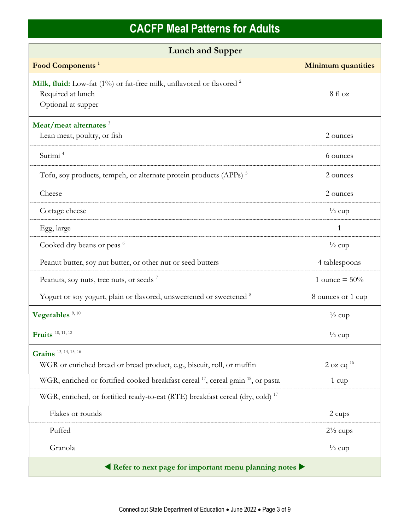| <b>Lunch and Supper</b>                                                                                                    |                           |  |
|----------------------------------------------------------------------------------------------------------------------------|---------------------------|--|
| Food Components <sup>1</sup>                                                                                               | <b>Minimum quantities</b> |  |
| Milk, fluid: Low-fat (1%) or fat-free milk, unflavored or flavored <sup>2</sup><br>Required at lunch<br>Optional at supper | 8 fl oz                   |  |
| Meat/meat alternates <sup>3</sup><br>Lean meat, poultry, or fish                                                           | 2 ounces                  |  |
| Surimi <sup>4</sup>                                                                                                        | 6 ounces                  |  |
| Tofu, soy products, tempeh, or alternate protein products (APPs) <sup>5</sup>                                              | 2 ounces                  |  |
| Cheese                                                                                                                     | 2 ounces                  |  |
| Cottage cheese                                                                                                             | $\frac{1}{2}$ cup         |  |
| Egg, large                                                                                                                 | 1                         |  |
| Cooked dry beans or peas 6                                                                                                 | $\frac{1}{2}$ cup         |  |
| Peanut butter, soy nut butter, or other nut or seed butters                                                                | 4 tablespoons             |  |
| Peanuts, soy nuts, tree nuts, or seeds <sup>7</sup>                                                                        | 1 ounce = $50\%$          |  |
| Yogurt or soy yogurt, plain or flavored, unsweetened or sweetened 8                                                        | 8 ounces or 1 cup         |  |
| Vegetables <sup>9, 10</sup>                                                                                                | $\frac{1}{2}$ cup         |  |
| Fruits <sup>10, 11, 12</sup>                                                                                               | $\frac{1}{2}$ cup         |  |
| Grains 13, 14, 15, 16                                                                                                      |                           |  |
| WGR or enriched bread or bread product, e.g., biscuit, roll, or muffin                                                     | $2$ oz eq <sup>16</sup>   |  |
| WGR, enriched or fortified cooked breakfast cereal <sup>17</sup> , cereal grain <sup>18</sup> , or pasta                   | 1 cup                     |  |
| WGR, enriched, or fortified ready-to-eat (RTE) breakfast cereal (dry, cold) <sup>17</sup>                                  |                           |  |
| Flakes or rounds                                                                                                           | 2 cups                    |  |
| Puffed                                                                                                                     | $2\frac{1}{2}$ cups       |  |
| Granola                                                                                                                    | $\frac{1}{2}$ cup         |  |
| Refer to next page for important menu planning notes                                                                       |                           |  |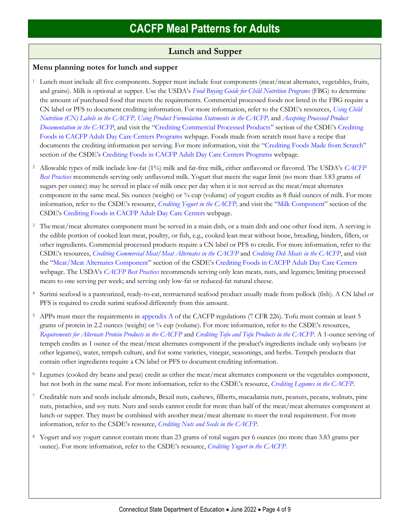## **Lunch and Supper**

### **Menu planning notes for lunch and supper**

- <sup>1</sup> Lunch must include all five components. Supper must include four components (meat/meat alternates, vegetables, fruits, and grains). Milk is optional at supper. Use the USDA's *[Food Buying Guide for Child Nutrition Programs](https://www.fns.usda.gov/tn/food-buying-guide-for-child-nutrition-programs)* (FBG) to determine the amount of purchased food that meets the requirements. Commercial processed foods not listed in the FBG require a CN label or PFS to document crediting information. For more information, refer to the CSDE's resources, *[Using Child](https://portal.ct.gov/-/media/SDE/Nutrition/CACFP/Crediting/Using_CN_labels_CACFP.pdf)  [Nutrition \(CN\) Labels in the CACFP,](https://portal.ct.gov/-/media/SDE/Nutrition/CACFP/Crediting/Using_CN_labels_CACFP.pdf) [Using Product Formulation Statements](https://portal.ct.gov/-/media/SDE/Nutrition/CACFP/Crediting/Using_Product_Formulation_Statements_CACFP.pdf) in the CACFP,* and *[Accepting Processed Product](https://portal.ct.gov/-/media/SDE/Nutrition/CACFP/Crediting/Accepting_Processed_Product_Documentation_CACFP.pdf)  [Documentation in the CACFP](https://portal.ct.gov/-/media/SDE/Nutrition/CACFP/Crediting/Accepting_Processed_Product_Documentation_CACFP.pdf)*, and visit the "[Crediting Commercial Processed Products](https://portal.ct.gov/SDE/Nutrition/Crediting-Foods-in-CACFP-Adult-Day-Care-Centers/Documents#CommercialProducts)" section of the CSDE's [Crediting](https://portal.ct.gov/SDE/Nutrition/Crediting-Foods-in-CACFP-Adult-Day-Care-Centers/Documents)  [Foods in CACFP Adult Day Care Centers](https://portal.ct.gov/SDE/Nutrition/Crediting-Foods-in-CACFP-Adult-Day-Care-Centers/Documents) Programs webpage. Foods made from scratch must have a recipe that documents the crediting information per serving. For more information, visit the "[Crediting Foods Made from Scratch](https://portal.ct.gov/SDE/Nutrition/Crediting-Foods-in-CACFP-Adult-Day-Care-Centers/Documents#ScratchFoods)" section of the CSDE's [Crediting Foods in CACFP Adult Day Care Centers](https://portal.ct.gov/SDE/Nutrition/Crediting-Foods-in-CACFP-Adult-Day-Care-Centers) Programs webpage.
- <sup>2</sup> Allowable types of milk include low-fat (1%) milk and fat-free milk, either unflavored or flavored. The USDA's *[CACFP](https://fns-prod.azureedge.us/sites/default/files/cacfp/CACFP_factBP.pdf)  [Best Practices](https://fns-prod.azureedge.us/sites/default/files/cacfp/CACFP_factBP.pdf)* recommends serving only unflavored milk. Yogurt that meets the sugar limit (no more than 3.83 grams of sugars per ounce) may be served in place of milk once per day when it is not served as the meat/meat alternates component in the same meal. Six ounces (weight) or  $\frac{3}{4}$  cup (volume) of yogurt credits as 8 fluid ounces of milk. For more information, refer to the CSDE's resource, *[Crediting Yogurt in the CACFP,](https://portal.ct.gov/-/media/SDE/Nutrition/CACFP/Crediting/Credit_Yogurt_CACFP.pdf)* and visit the "[Milk Component](https://portal.ct.gov/SDE/Nutrition/Crediting-Foods-in-CACFP-Adult-Day-Care-Centers/Documents#Milk)" section of the CSDE's [Crediting Foods in CACFP Adult Day Care Centers](https://portal.ct.gov/SDE/Nutrition/Crediting-Foods-in-CACFP-Adult-Day-Care-Centers) webpage.
- <sup>3</sup> The meat/meat alternates component must be served in a main dish, or a main dish and one other food item. A serving is the edible portion of cooked lean meat, poultry, or fish, e.g., cooked lean meat without bone, breading, binders, fillers, or other ingredients. Commercial processed products require a CN label or PFS to credit. For more information, refer to the CSDE's resources, *[Crediting Commercial Meat/Meat Alternates in the CACFP](https://portal.ct.gov/-/media/SDE/Nutrition/CACFP/Crediting/Credit_Commercial_MMA_CACFP.pdf)* and *[Crediting Deli Meats in the CACFP](https://portal.ct.gov/-/media/SDE/Nutrition/CACFP/Crediting/Credit_Deli_CACFP.pdf)*, and visit the "[Meat/Meat Alternates Component](https://portal.ct.gov/SDE/Nutrition/Crediting-Foods-in-CACFP-Adult-Day-Care-Centers/Documents#MMA)" section of the CSDE's [Crediting Foods in CACFP Adult Day Care Centers](https://portal.ct.gov/SDE/Nutrition/Crediting-Foods-in-CACFP-Adult-Day-Care-Centers) webpage. The USDA's *[CACFP Best Practices](https://fns-prod.azureedge.us/sites/default/files/cacfp/CACFP_factBP.pdf)* recommends serving only lean meats, nuts, and legumes; limiting processed meats to one serving per week; and serving only low-fat or reduced-fat natural cheese.
- <sup>4</sup> Surimi seafood is a pasteurized, ready-to-eat, restructured seafood product usually made from pollock (fish). A CN label or PFS is required to credit surimi seafood differently from this amount.
- <sup>5</sup> APPs must meet the requirements i[n appendix A](https://www.ecfr.gov/cgi-bin/text-idx?SID=4c211a738d6109939c6054a6286ac109&mc=true&node=pt7.4.226&rgn=div5#ap7.4.226_127.a) of the CACFP regulations (7 CFR 226). Tofu must contain at least 5 grams of protein in 2.2 ounces (weight) or ¼ cup (volume). For more information, refer to the CSDE's resources, *[Requirements for Alternate Protein Products in the CACFP](https://portal.ct.gov/-/media/SDE/Nutrition/CACFP/Crediting/APP_Requirements_CACFP.pdf)* and *[Crediting Tofu and Tofu Products in the CACFP](https://portal.ct.gov/-/media/SDE/Nutrition/CACFP/Crediting/Credit_Tofu_CACFP.pdf)*. A 1-ounce serving of tempeh credits as 1 ounce of the meat/meat alternates component if the product's ingredients include only soybeans (or other legumes), water, tempeh culture, and for some varieties, vinegar, seasonings, and herbs. Tempeh products that contain other ingredients require a CN label or PFS to document crediting information.
- <sup>6</sup> Legumes (cooked dry beans and peas) credit as either the meat/meat alternates component or the vegetables component, but not both in the same meal. For more information, refer to the CSDE's resource, *[Crediting Legumes in the CACFP.](https://portal.ct.gov/-/media/SDE/Nutrition/CACFP/Crediting/Credit_Legumes_CACFP.pdf)*
- <sup>7</sup> Creditable nuts and seeds include almonds, Brazil nuts, cashews, filberts, macadamia nuts, peanuts, pecans, walnuts, pine nuts, pistachios, and soy nuts. Nuts and seeds cannot credit for more than half of the meat/meat alternates component at lunch or supper. They must be combined with another meat/meat alternate to meet the total requirement. For more information, refer to the CSDE's resource, *[Crediting Nuts and Seeds in the CACFP](https://portal.ct.gov/-/media/SDE/Nutrition/CACFP/Crediting/Credit_Nuts_Seeds_CACFP.pdf)*.
- <sup>8</sup> Yogurt and soy yogurt cannot contain more than 23 grams of total sugars per 6 ounces (no more than 3.83 grams per ounce)*.* For more information, refer to the CSDE's resource, *[Crediting Yogurt in the CACFP.](https://portal.ct.gov/-/media/SDE/Nutrition/CACFP/Crediting/Credit_Yogurt_CACFP.pdf)*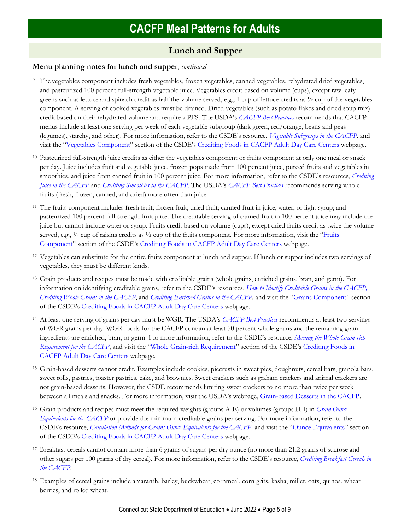## **Lunch and Supper**

### **Menu planning notes for lunch and supper**, *continued*

- <sup>9</sup> The vegetables component includes fresh vegetables, frozen vegetables, canned vegetables, rehydrated dried vegetables, and pasteurized 100 percent full-strength vegetable juice. Vegetables credit based on volume (cups), except raw leafy greens such as lettuce and spinach credit as half the volume served, e.g., 1 cup of lettuce credits as  $\frac{1}{2}$  cup of the vegetables component. A serving of cooked vegetables must be drained. Dried vegetables (such as potato flakes and dried soup mix) credit based on their rehydrated volume and require a PFS. The USDA's *[CACFP Best Practices](https://fns-prod.azureedge.us/sites/default/files/cacfp/CACFP_factBP.pdf)* recommends that CACFP menus include at least one serving per week of each vegetable subgroup (dark green, red/orange, beans and peas (legumes), starchy, and other). For more information, refer to the CSDE's resource, *[Vegetable Subgroups in the CACFP](https://portal.ct.gov/-/media/SDE/Nutrition/CACFP/Crediting/Vegetable_Subgroups_CACFP.pdf)*, and visit the "[Vegetables Component](https://portal.ct.gov/SDE/Nutrition/Crediting-Foods-in-CACFP-Adult-Day-Care-Centers/Documents#Vegetables)" section of the CSDE's [Crediting Foods in CACFP Adult Day Care Centers](https://portal.ct.gov/SDE/Nutrition/Crediting-Foods-in-CACFP-Adult-Day-Care-Centers) webpage.
- <sup>10</sup> Pasteurized full-strength juice credits as either the vegetables component or fruits component at only one meal or snack per day. Juice includes fruit and vegetable juice, frozen pops made from 100 percent juice, pureed fruits and vegetables in smoothies, and juice from canned fruit in 100 percent juice. For more information, refer to the CSDE's resources, *[Crediting](https://portal.ct.gov/-/media/SDE/Nutrition/CACFP/Crediting/Credit_Juice_CACFP.pdf)  [Juice in the CACFP](https://portal.ct.gov/-/media/SDE/Nutrition/CACFP/Crediting/Credit_Juice_CACFP.pdf)* and *[Crediting Smoothies in the CACFP.](https://portal.ct.gov/-/media/SDE/Nutrition/CACFP/Crediting/Credit_Smoothies_CACFP.pdf)* The USDA's *[CACFP Best Practices](https://fns-prod.azureedge.us/sites/default/files/cacfp/CACFP_factBP.pdf)* recommends serving whole fruits (fresh, frozen, canned, and dried) more often than juice.
- <sup>11</sup> The fruits component includes fresh fruit; frozen fruit; dried fruit; canned fruit in juice, water, or light syrup; and pasteurized 100 percent full-strength fruit juice. The creditable serving of canned fruit in 100 percent juice may include the juice but cannot include water or syrup. Fruits credit based on volume (cups), except dried fruits credit as twice the volume served, e.g., 1/4 cup of raisins credits as 1/2 cup of the fruits component. For more information, visit the "Fruits" [Component](https://portal.ct.gov/SDE/Nutrition/Crediting-Foods-in-CACFP-Adult-Day-Care-Centers/Documents#Fruits)" section of the CSDE's [Crediting Foods in CACFP Adult Day Care Centers](https://portal.ct.gov/SDE/Nutrition/Crediting-Foods-in-CACFP-Adult-Day-Care-Centers) webpage.
- <sup>12</sup> Vegetables can substitute for the entire fruits component at lunch and supper. If lunch or supper includes two servings of vegetables, they must be different kinds.
- <sup>13</sup> Grain products and recipes must be made with creditable grains (whole grains, enriched grains, bran, and germ). For information on identifying creditable grains, refer to the CSDE's resources, *[How to Identify Creditable Grains in the CACFP,](https://portal.ct.gov/-/media/SDE/Nutrition/CACFP/Crediting/Identify_Creditable_Grains_CACFP.pdf) [Crediting Whole Grains in the CACFP](https://portal.ct.gov/-/media/SDE/Nutrition/CACFP/Crediting/Credit_Whole_Grains_CACFP.pdf)*, and *[Crediting Enriched Grains in the CACFP,](https://portal.ct.gov/-/media/SDE/Nutrition/CACFP/Crediting/Credit_Enriched_Grains_CACFP.pdf)* and visit the "[Grains Component](https://portal.ct.gov/SDE/Nutrition/Crediting-Foods-in-CACFP-Adult-Day-Care-Centers/Documents#Grains)" section of the CSDE's [Crediting Foods in CACFP Adult Day Care Centers](https://portal.ct.gov/SDE/Nutrition/Crediting-Foods-in-CACFP-Adult-Day-Care-Centers) webpage.
- <sup>14</sup> At least one serving of grains per day must be WGR. The USDA's *[CACFP Best Practices](https://fns-prod.azureedge.us/sites/default/files/cacfp/CACFP_factBP.pdf)* recommends at least two servings of WGR grains per day. WGR foods for the CACFP contain at least 50 percent whole grains and the remaining grain ingredients are enriched, bran, or germ. For more information, refer to the CSDE's resource, *[Meeting the Whole Grain-rich](https://portal.ct.gov/-/media/SDE/Nutrition/CACFP/Crediting/WGR_Requirement_CACFP.pdf)  [Requirement for the CACFP](https://portal.ct.gov/-/media/SDE/Nutrition/CACFP/Crediting/WGR_Requirement_CACFP.pdf)*, and visit the "[Whole Grain-rich Requirement](https://portal.ct.gov/SDE/Nutrition/Crediting-Foods-in-CACFP-Adult-Day-Care-Centers/Documents#WGR)" section of the CSDE's [Crediting Foods in](https://portal.ct.gov/SDE/Nutrition/Crediting-Foods-in-CACFP-Adult-Day-Care-Centers)  [CACFP Adult Day Care Centers](https://portal.ct.gov/SDE/Nutrition/Crediting-Foods-in-CACFP-Adult-Day-Care-Centers) webpage.
- <sup>15</sup> Grain-based desserts cannot credit. Examples include cookies, piecrusts in sweet pies, doughnuts, cereal bars, granola bars, sweet rolls, pastries, toaster pastries, cake, and brownies. Sweet crackers such as graham crackers and animal crackers are not grain-based desserts. However, the CSDE recommends limiting sweet crackers to no more than twice per week between all meals and snacks. For more information, visit the USDA's webpage, [Grain-based Desserts in the CACFP.](https://www.fns.usda.gov/tn/grain-based-desserts-cacfp)
- <sup>16</sup> Grain products and recipes must meet the required weights (groups A-E) or volumes (groups H-I) in *[Grain Ounce](https://portal.ct.gov/-/media/SDE/Nutrition/CACFP/Crediting/Grain_Oz_Eq_CACFP.pdf)  [Equivalents for the CACFP](https://portal.ct.gov/-/media/SDE/Nutrition/CACFP/Crediting/Grain_Oz_Eq_CACFP.pdf)* or provide the minimum creditable grains per serving. For more information, refer to the CSDE's resource, *[Calculation Methods for Grains Ounce Equivalents for the CACFP,](https://portal.ct.gov/-/media/SDE/Nutrition/CACFP/Crediting/Grain_Calculation_CACFP_oz_eq.pdf)* and visit the "[Ounce Equivalents](https://portal.ct.gov/SDE/Nutrition/Crediting-Foods-in-CACFP-Adult-Day-Care-Centers/Documents#OunceEquivalents)" section of the CSDE's [Crediting Foods in CACFP Adult Day Care Centers](https://portal.ct.gov/SDE/Nutrition/Crediting-Foods-in-CACFP-Adult-Day-Care-Centershttps:/portal.ct.gov/SDE/Nutrition/Crediting-Foods-in-CACFP-Adult-Day-Care-Centers/Documents) webpage.
- <sup>17</sup> Breakfast cereals cannot contain more than 6 grams of sugars per dry ounce (no more than 21.2 grams of sucrose and other sugars per 100 grams of dry cereal). For more information, refer to the CSDE's resource, *[Crediting Breakfast Cereals in](https://portal.ct.gov/-/media/SDE/Nutrition/CACFP/Crediting/Credit_Cereals_CACFP.pdf)  [the CACFP](https://portal.ct.gov/-/media/SDE/Nutrition/CACFP/Crediting/Credit_Cereals_CACFP.pdf)*.
- <sup>18</sup> Examples of cereal grains include amaranth, barley, buckwheat, cornmeal, corn grits, kasha, millet, oats, quinoa, wheat berries, and rolled wheat.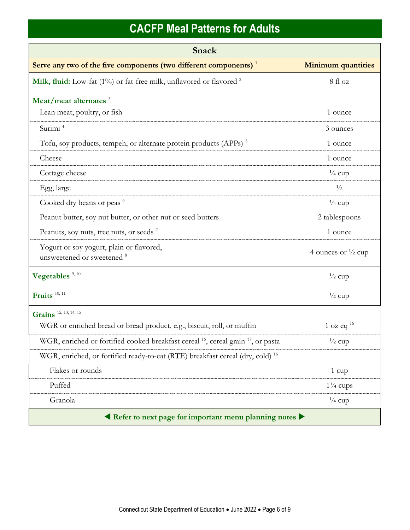| Snack                                                                                                    |                               |  |
|----------------------------------------------------------------------------------------------------------|-------------------------------|--|
| Serve any two of the five components (two different components) <sup>1</sup>                             | <b>Minimum quantities</b>     |  |
| Milk, fluid: Low-fat (1%) or fat-free milk, unflavored or flavored <sup>2</sup>                          | 8 fl oz                       |  |
| Meat/meat alternates <sup>3</sup>                                                                        |                               |  |
| Lean meat, poultry, or fish                                                                              | 1 ounce                       |  |
| Surimi <sup>4</sup>                                                                                      | 3 ounces                      |  |
| Tofu, soy products, tempeh, or alternate protein products (APPs) <sup>5</sup>                            | 1 ounce                       |  |
| Cheese                                                                                                   | 1 ounce                       |  |
| Cottage cheese                                                                                           | $\frac{1}{4}$ cup             |  |
| Egg, large                                                                                               | $\frac{1}{2}$                 |  |
| Cooked dry beans or peas <sup>6</sup>                                                                    | $\frac{1}{4}$ cup             |  |
| Peanut butter, soy nut butter, or other nut or seed butters                                              | 2 tablespoons                 |  |
| Peanuts, soy nuts, tree nuts, or seeds <sup>7</sup>                                                      | 1 ounce                       |  |
| Yogurt or soy yogurt, plain or flavored,<br>unsweetened or sweetened <sup>8</sup>                        | 4 ounces or $\frac{1}{2}$ cup |  |
| Vegetables <sup>9, 10</sup>                                                                              | $\frac{1}{2}$ cup             |  |
| Fruits <sup>10, 11</sup>                                                                                 | $\frac{1}{2}$ cup             |  |
| Grains 12, 13, 14, 15                                                                                    |                               |  |
| WGR or enriched bread or bread product, e.g., biscuit, roll, or muffin                                   | 1 oz eq $16$                  |  |
| WGR, enriched or fortified cooked breakfast cereal <sup>16</sup> , cereal grain <sup>17</sup> , or pasta | $\frac{1}{2}$ cup             |  |
| WGR, enriched, or fortified ready-to-eat (RTE) breakfast cereal (dry, cold) <sup>16</sup>                |                               |  |
| Flakes or rounds                                                                                         | 1 cup                         |  |
| Puffed                                                                                                   | $1\frac{1}{4}$ cups           |  |
| Granola                                                                                                  | $\frac{1}{4}$ cup             |  |
| Refer to next page for important menu planning notes                                                     |                               |  |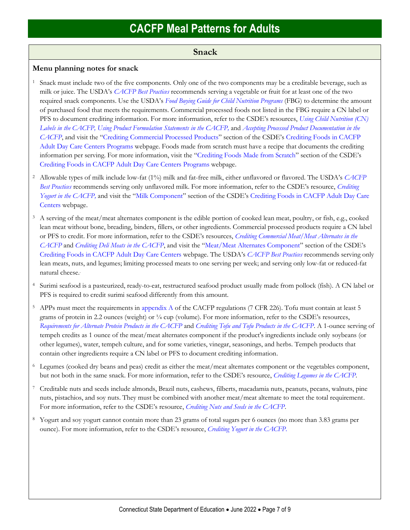### **Snack**

#### **Menu planning notes for snack**

- <sup>1</sup> Snack must include two of the five components. Only one of the two components may be a creditable beverage, such as milk or juice. The USDA's *[CACFP Best Practices](https://fns-prod.azureedge.us/sites/default/files/cacfp/CACFP_factBP.pdf)* recommends serving a vegetable or fruit for at least one of the two required snack components. Use the USDA's *[Food Buying Guide for Child Nutrition Programs](https://www.fns.usda.gov/tn/food-buying-guide-for-child-nutrition-programs)* (FBG) to determine the amount of purchased food that meets the requirements. Commercial processed foods not listed in the FBG require a CN label or PFS to document crediting information. For more information, refer to the CSDE's resources, *[Using Child Nutrition \(CN\)](https://portal.ct.gov/-/media/SDE/Nutrition/CACFP/Crediting/Using_CN_labels_CACFP.pdf)  [Labels in the CACFP,](https://portal.ct.gov/-/media/SDE/Nutrition/CACFP/Crediting/Using_CN_labels_CACFP.pdf) [Using Product Formulation Statements](https://portal.ct.gov/-/media/SDE/Nutrition/CACFP/Crediting/Using_Product_Formulation_Statements_CACFP.pdf) in the CACFP,* and *[Accepting Processed Product Documentation in the](https://portal.ct.gov/-/media/SDE/Nutrition/CACFP/Crediting/Accepting_Processed_Product_Documentation_CACFP.pdf)  [CACFP](https://portal.ct.gov/-/media/SDE/Nutrition/CACFP/Crediting/Accepting_Processed_Product_Documentation_CACFP.pdf)*, and visit the "[Crediting Commercial Processed Products](https://portal.ct.gov/SDE/Nutrition/Crediting-Foods-in-CACFP-Adult-Day-Care-Centers/Documents#CommercialProducts)" section of the CSDE's [Crediting Foods in CACFP](https://portal.ct.gov/SDE/Nutrition/Crediting-Foods-in-CACFP-Adult-Day-Care-Centers/Documents)  [Adult Day Care Centers](https://portal.ct.gov/SDE/Nutrition/Crediting-Foods-in-CACFP-Adult-Day-Care-Centers/Documents) Programs webpage. Foods made from scratch must have a recipe that documents the crediting information per serving. For more information, visit the "[Crediting Foods Made from Scratch](https://portal.ct.gov/SDE/Nutrition/Crediting-Foods-in-CACFP-Adult-Day-Care-Centers/Documents#ScratchFoods)" section of the CSDE's [Crediting Foods in CACFP Adult Day Care Centers](https://portal.ct.gov/SDE/Nutrition/Crediting-Foods-in-CACFP-Adult-Day-Care-Centers) Programs webpage.
- <sup>2</sup> Allowable types of milk include low-fat (1%) milk and fat-free milk, either unflavored or flavored. The USDA's *[CACFP](https://fns-prod.azureedge.us/sites/default/files/cacfp/CACFP_factBP.pdf)  [Best Practices](https://fns-prod.azureedge.us/sites/default/files/cacfp/CACFP_factBP.pdf)* recommends serving only unflavored milk. For more information, refer to the CSDE's resource, *[Crediting](https://portal.ct.gov/-/media/SDE/Nutrition/CACFP/Crediting/Credit_Yogurt_CACFP.pdf)  [Yogurt in the CACFP,](https://portal.ct.gov/-/media/SDE/Nutrition/CACFP/Crediting/Credit_Yogurt_CACFP.pdf)* and visit the "[Milk Component](https://portal.ct.gov/SDE/Nutrition/Crediting-Foods-in-CACFP-Adult-Day-Care-Centers/Documents#Milk)" section of the CSDE's [Crediting Foods in CACFP Adult Day Care](https://portal.ct.gov/SDE/Nutrition/Crediting-Foods-in-CACFP-Adult-Day-Care-Centers)  [Centers](https://portal.ct.gov/SDE/Nutrition/Crediting-Foods-in-CACFP-Adult-Day-Care-Centers) webpage.
- <sup>3</sup> A serving of the meat/meat alternates component is the edible portion of cooked lean meat, poultry, or fish, e.g., cooked lean meat without bone, breading, binders, fillers, or other ingredients. Commercial processed products require a CN label or PFS to credit. For more information, refer to the CSDE's resources, *[Crediting Commercial Meat/Meat Alternates in the](https://portal.ct.gov/-/media/SDE/Nutrition/CACFP/Crediting/Credit_Commercial_MMA_CACFP.pdf)  [CACFP](https://portal.ct.gov/-/media/SDE/Nutrition/CACFP/Crediting/Credit_Commercial_MMA_CACFP.pdf)* and *[Crediting Deli Meats in the CACFP](https://portal.ct.gov/-/media/SDE/Nutrition/CACFP/Crediting/Credit_Deli_CACFP.pdf)*, and visit the "[Meat/Meat Alternates Component](https://portal.ct.gov/SDE/Nutrition/Crediting-Foods-in-CACFP-Adult-Day-Care-Centers/Documents#MMA)" section of the CSDE's [Crediting Foods in CACFP Adult Day Care Centers](https://portal.ct.gov/SDE/Nutrition/Crediting-Foods-in-CACFP-Adult-Day-Care-Centers) webpage. The USDA's *[CACFP Best Practices](https://fns-prod.azureedge.us/sites/default/files/cacfp/CACFP_factBP.pdf)* recommends serving only lean meats, nuts, and legumes; limiting processed meats to one serving per week; and serving only low-fat or reduced-fat natural cheese..
- <sup>4</sup> Surimi seafood is a pasteurized, ready-to-eat, restructured seafood product usually made from pollock (fish). A CN label or PFS is required to credit surimi seafood differently from this amount.
- <sup>5</sup> APPs must meet the requirements i[n appendix A](https://www.ecfr.gov/cgi-bin/text-idx?SID=4c211a738d6109939c6054a6286ac109&mc=true&node=pt7.4.226&rgn=div5#ap7.4.226_127.a) of the CACFP regulations (7 CFR 226). Tofu must contain at least 5 grams of protein in 2.2 ounces (weight) or ¼ cup (volume). For more information, refer to the CSDE's resources, *[Requirements for Alternate Protein Products in the CACFP](https://portal.ct.gov/-/media/SDE/Nutrition/CACFP/Crediting/APP_Requirements_CACFP.pdf)* and *[Crediting Tofu and Tofu Products in the CACFP](https://portal.ct.gov/-/media/SDE/Nutrition/CACFP/Crediting/Credit_Tofu_CACFP.pdf)*. A 1-ounce serving of tempeh credits as 1 ounce of the meat/meat alternates component if the product's ingredients include only soybeans (or other legumes), water, tempeh culture, and for some varieties, vinegar, seasonings, and herbs. Tempeh products that contain other ingredients require a CN label or PFS to document crediting information.
- <sup>6</sup> Legumes (cooked dry beans and peas) credit as either the meat/meat alternates component or the vegetables component, but not both in the same snack. For more information, refer to the CSDE's resource, *[Crediting Legumes in the CACFP.](https://portal.ct.gov/-/media/SDE/Nutrition/CACFP/Crediting/Credit_Legumes_CACFP.pdf)*
- <sup>7</sup> Creditable nuts and seeds include almonds, Brazil nuts, cashews, filberts, macadamia nuts, peanuts, pecans, walnuts, pine nuts, pistachios, and soy nuts. They must be combined with another meat/meat alternate to meet the total requirement. For more information, refer to the CSDE's resource, *[Crediting Nuts and Seeds in the CACFP](https://portal.ct.gov/-/media/SDE/Nutrition/CACFP/Crediting/Credit_Nuts_Seeds_CACFP.pdf)*.
- <sup>8</sup> Yogurt and soy yogurt cannot contain more than 23 grams of total sugars per 6 ounces (no more than 3.83 grams per ounce)*.* For more information, refer to the CSDE's resource, *[Crediting Yogurt in the CACFP.](https://portal.ct.gov/-/media/SDE/Nutrition/CACFP/Crediting/Credit_Yogurt_CACFP.pdf)*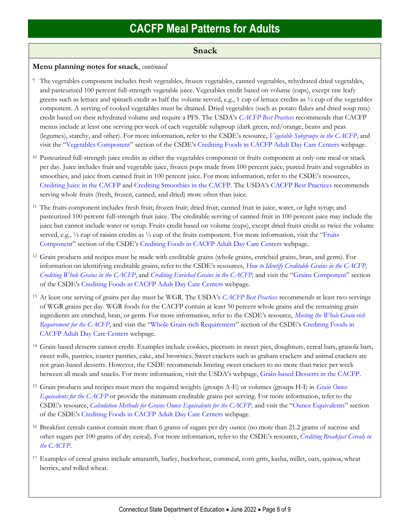### **Snack**

### **Menu planning notes for snack**, *continued*

- <sup>9</sup> The vegetables component includes fresh vegetables, frozen vegetables, canned vegetables, rehydrated dried vegetables, and pasteurized 100 percent full-strength vegetable juice. Vegetables credit based on volume (cups), except raw leafy greens such as lettuce and spinach credit as half the volume served, e.g., 1 cup of lettuce credits as ½ cup of the vegetables component. A serving of cooked vegetables must be drained. Dried vegetables (such as potato flakes and dried soup mix) credit based on their rehydrated volume and require a PFS. The USDA's *[CACFP Best Practices](https://fns-prod.azureedge.us/sites/default/files/cacfp/CACFP_factBP.pdf)* recommends that CACFP menus include at least one serving per week of each vegetable subgroup (dark green, red/orange, beans and peas (legumes), starchy, and other). For more information, refer to the CSDE's resource, *[Vegetable Subgroups in the CACFP](https://portal.ct.gov/-/media/SDE/Nutrition/CACFP/Crediting/Vegetable_Subgroups_CACFP.pdf)*, and visit the "[Vegetables Component](https://portal.ct.gov/SDE/Nutrition/Crediting-Foods-in-CACFP-Adult-Day-Care-Centers/Documents#Vegetables)" section of the CSDE's [Crediting Foods in CACFP Adult Day Care Centers](https://portal.ct.gov/SDE/Nutrition/Crediting-Foods-in-CACFP-Adult-Day-Care-Centers) webpage.
- <sup>10</sup> Pasteurized full-strength juice credits as either the vegetables component or fruits component at only one meal or snack per day. Juice includes fruit and vegetable juice, frozen pops made from 100 percent juice, pureed fruits and vegetables in smoothies, and juice from canned fruit in 100 percent juice. For more information, refer to the CSDE's resources, [Crediting Juice in the CACFP](https://portal.ct.gov/-/media/SDE/Nutrition/CACFP/Crediting/Credit_Juice_CACFP.pdf) and [Crediting Smoothies in the CACFP.](https://portal.ct.gov/-/media/SDE/Nutrition/CACFP/Crediting/Credit_Smoothies_CACFP.pdf) The USDA's [CACFP Best Practices](https://fns-prod.azureedge.us/sites/default/files/cacfp/CACFP_factBP.pdf) recommends serving whole fruits (fresh, frozen, canned, and dried) more often than juice.
- <sup>11</sup> The fruits component includes fresh fruit; frozen fruit; dried fruit; canned fruit in juice, water, or light syrup; and pasteurized 100 percent full-strength fruit juice. The creditable serving of canned fruit in 100 percent juice may include the juice but cannot include water or syrup. Fruits credit based on volume (cups), except dried fruits credit as twice the volume served, e.g., 1/4 cup of raisins credits as 1/2 cup of the fruits component. For more information, visit the "Fruits" [Component](https://portal.ct.gov/SDE/Nutrition/Crediting-Foods-in-CACFP-Adult-Day-Care-Centers/Documents#Fruits)" section of the CSDE's [Crediting Foods in CACFP Adult Day Care Centers](https://portal.ct.gov/SDE/Nutrition/Crediting-Foods-in-CACFP-Adult-Day-Care-Centers) webpage.
- <sup>12</sup> Grain products and recipes must be made with creditable grains (whole grains, enriched grains, bran, and germ). For information on identifying creditable grains, refer to the CSDE's resources, *[How to Identify Creditable Grains in the CACFP,](https://portal.ct.gov/-/media/SDE/Nutrition/CACFP/Crediting/Identify_Creditable_Grains_CACFP.pdf) [Crediting Whole Grains in the CACFP](https://portal.ct.gov/-/media/SDE/Nutrition/CACFP/Crediting/Credit_Whole_Grains_CACFP.pdf)*, and *[Crediting Enriched Grains in the CACFP,](https://portal.ct.gov/-/media/SDE/Nutrition/CACFP/Crediting/Credit_Enriched_Grains_CACFP.pdf)* and visit the "[Grains Component](https://portal.ct.gov/SDE/Nutrition/Crediting-Foods-in-CACFP-Adult-Day-Care-Centers/Documents#Grains)" section of the CSDE's [Crediting Foods in CACFP Adult Day Care Centers](https://portal.ct.gov/SDE/Nutrition/Crediting-Foods-in-CACFP-Adult-Day-Care-Centers) webpage.
- <sup>13</sup> At least one serving of grains per day must be WGR. The USDA's *[CACFP Best Practices](https://fns-prod.azureedge.us/sites/default/files/cacfp/CACFP_factBP.pdf)* recommends at least two servings of WGR grains per day. WGR foods for the CACFP contain at least 50 percent whole grains and the remaining grain ingredients are enriched, bran, or germ. For more information, refer to the CSDE's resource, *[Meeting the Whole Grain-rich](https://portal.ct.gov/-/media/SDE/Nutrition/CACFP/Crediting/WGR_Requirement_CACFP.pdf)  [Requirement for the CACFP](https://portal.ct.gov/-/media/SDE/Nutrition/CACFP/Crediting/WGR_Requirement_CACFP.pdf)*, and visit the "[Whole Grain-rich Requirement](https://portal.ct.gov/SDE/Nutrition/Crediting-Foods-in-CACFP-Adult-Day-Care-Centers/Documents#WGR)" section of the CSDE's [Crediting Foods in](https://portal.ct.gov/SDE/Nutrition/Crediting-Foods-in-CACFP-Adult-Day-Care-Centers)  [CACFP Adult Day Care Centers](https://portal.ct.gov/SDE/Nutrition/Crediting-Foods-in-CACFP-Adult-Day-Care-Centers) webpage.
- <sup>14</sup> Grain-based desserts cannot credit. Examples include cookies, piecrusts in sweet pies, doughnuts, cereal bars, granola bars, sweet rolls, pastries, toaster pastries, cake, and brownies. Sweet crackers such as graham crackers and animal crackers are not grain-based desserts. However, the CSDE recommends limiting sweet crackers to no more than twice per week between all meals and snacks. For more information, visit the USDA's webpage, [Grain-based Desserts in the CACFP.](https://www.fns.usda.gov/tn/grain-based-desserts-cacfp)
- <sup>15</sup> Grain products and recipes must meet the required weights (groups A-E) or volumes (groups H-I) in *[Grain Ounce](https://portal.ct.gov/-/media/SDE/Nutrition/CACFP/Crediting/Grain_Oz_Eq_CACFP.pdf)  [Equivalents for the CACFP](https://portal.ct.gov/-/media/SDE/Nutrition/CACFP/Crediting/Grain_Oz_Eq_CACFP.pdf)* or provide the minimum creditable grains per serving. For more information, refer to the CSDE's resource, *[Calculation Methods for Grains Ounce Equivalents for the CACFP,](https://portal.ct.gov/-/media/SDE/Nutrition/CACFP/Crediting/Grain_Calculation_CACFP_oz_eq.pdf)* and visit the "[Ounce Equivalents](https://portal.ct.gov/SDE/Nutrition/Crediting-Foods-in-CACFP-Adult-Day-Care-Centers/Documents#OunceEquivalents)" section of the CSDE's [Crediting Foods in CACFP Adult Day Care Centers](https://portal.ct.gov/SDE/Nutrition/Crediting-Foods-in-CACFP-Adult-Day-Care-Centershttps:/portal.ct.gov/SDE/Nutrition/Crediting-Foods-in-CACFP-Adult-Day-Care-Centers/Documents) webpage.
- <sup>16</sup> Breakfast cereals cannot contain more than 6 grams of sugars per dry ounce (no more than 21.2 grams of sucrose and other sugars per 100 grams of dry cereal). For more information, refer to the CSDE's resource, *[Crediting Breakfast Cereals in](https://portal.ct.gov/-/media/SDE/Nutrition/CACFP/Crediting/Credit_Cereals_CACFP.pdf)  [the CACFP](https://portal.ct.gov/-/media/SDE/Nutrition/CACFP/Crediting/Credit_Cereals_CACFP.pdf)*.
- <sup>17</sup> Examples of cereal grains include amaranth, barley, buckwheat, cornmeal, corn grits, kasha, millet, oats, quinoa, wheat berries, and rolled wheat.